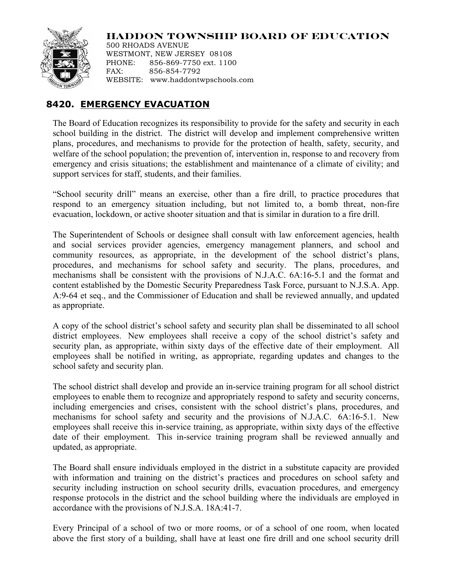## **HADDON TOWNSHIP BOARD OF EDUCATION**



500 RHOADS AVENUE WESTMONT, NEW JERSEY 08108 PHONE: 856-869-7750 ext. 1100 FAX: 856-854-7792 WEBSITE: www.haddontwpschools.com

## **8420. EMERGENCY EVACUATION**

The Board of Education recognizes its responsibility to provide for the safety and security in each school building in the district. The district will develop and implement comprehensive written plans, procedures, and mechanisms to provide for the protection of health, safety, security, and welfare of the school population; the prevention of, intervention in, response to and recovery from emergency and crisis situations; the establishment and maintenance of a climate of civility; and support services for staff, students, and their families.

"School security drill" means an exercise, other than a fire drill, to practice procedures that respond to an emergency situation including, but not limited to, a bomb threat, non-fire evacuation, lockdown, or active shooter situation and that is similar in duration to a fire drill.

The Superintendent of Schools or designee shall consult with law enforcement agencies, health and social services provider agencies, emergency management planners, and school and community resources, as appropriate, in the development of the school district's plans, procedures, and mechanisms for school safety and security. The plans, procedures, and mechanisms shall be consistent with the provisions of N.J.A.C. 6A:16-5.1 and the format and content established by the Domestic Security Preparedness Task Force, pursuant to N.J.S.A. App. A:9-64 et seq., and the Commissioner of Education and shall be reviewed annually, and updated as appropriate.

A copy of the school district's school safety and security plan shall be disseminated to all school district employees. New employees shall receive a copy of the school district's safety and security plan, as appropriate, within sixty days of the effective date of their employment. All employees shall be notified in writing, as appropriate, regarding updates and changes to the school safety and security plan.

The school district shall develop and provide an in-service training program for all school district employees to enable them to recognize and appropriately respond to safety and security concerns, including emergencies and crises, consistent with the school district's plans, procedures, and mechanisms for school safety and security and the provisions of N.J.A.C. 6A:16-5.1. New employees shall receive this in-service training, as appropriate, within sixty days of the effective date of their employment. This in-service training program shall be reviewed annually and updated, as appropriate.

The Board shall ensure individuals employed in the district in a substitute capacity are provided with information and training on the district's practices and procedures on school safety and security including instruction on school security drills, evacuation procedures, and emergency response protocols in the district and the school building where the individuals are employed in accordance with the provisions of N.J.S.A. 18A:41-7.

Every Principal of a school of two or more rooms, or of a school of one room, when located above the first story of a building, shall have at least one fire drill and one school security drill